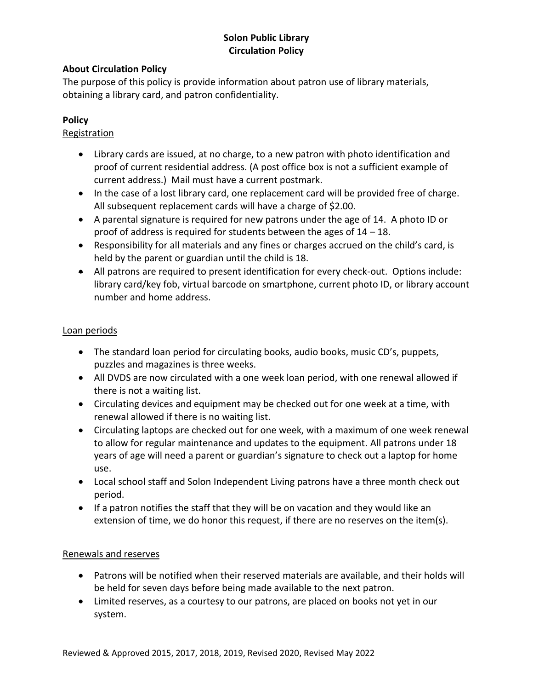# **Solon Public Library Circulation Policy**

## **About Circulation Policy**

The purpose of this policy is provide information about patron use of library materials, obtaining a library card, and patron confidentiality.

## **Policy**

## Registration

- Library cards are issued, at no charge, to a new patron with photo identification and proof of current residential address. (A post office box is not a sufficient example of current address.) Mail must have a current postmark.
- In the case of a lost library card, one replacement card will be provided free of charge. All subsequent replacement cards will have a charge of \$2.00.
- A parental signature is required for new patrons under the age of 14. A photo ID or proof of address is required for students between the ages of 14 – 18.
- Responsibility for all materials and any fines or charges accrued on the child's card, is held by the parent or guardian until the child is 18.
- All patrons are required to present identification for every check-out. Options include: library card/key fob, virtual barcode on smartphone, current photo ID, or library account number and home address.

## Loan periods

- The standard loan period for circulating books, audio books, music CD's, puppets, puzzles and magazines is three weeks.
- All DVDS are now circulated with a one week loan period, with one renewal allowed if there is not a waiting list.
- Circulating devices and equipment may be checked out for one week at a time, with renewal allowed if there is no waiting list.
- Circulating laptops are checked out for one week, with a maximum of one week renewal to allow for regular maintenance and updates to the equipment. All patrons under 18 years of age will need a parent or guardian's signature to check out a laptop for home use.
- Local school staff and Solon Independent Living patrons have a three month check out period.
- If a patron notifies the staff that they will be on vacation and they would like an extension of time, we do honor this request, if there are no reserves on the item(s).

#### Renewals and reserves

- Patrons will be notified when their reserved materials are available, and their holds will be held for seven days before being made available to the next patron.
- Limited reserves, as a courtesy to our patrons, are placed on books not yet in our system.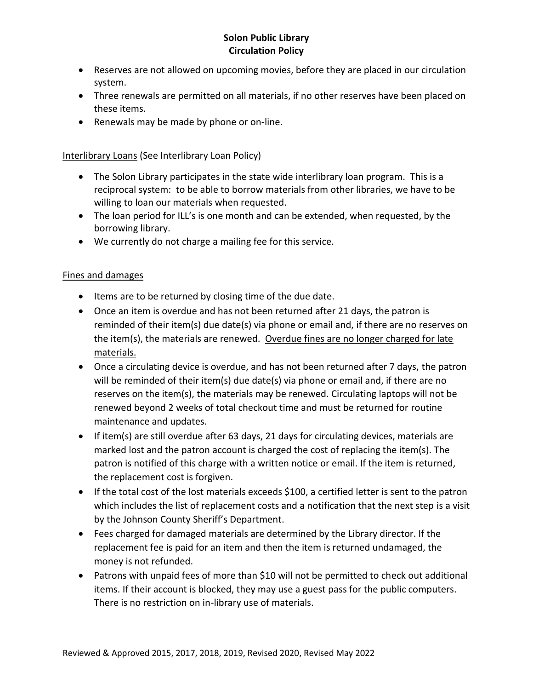## **Solon Public Library Circulation Policy**

- Reserves are not allowed on upcoming movies, before they are placed in our circulation system.
- Three renewals are permitted on all materials, if no other reserves have been placed on these items.
- Renewals may be made by phone or on-line.

Interlibrary Loans (See Interlibrary Loan Policy)

- The Solon Library participates in the state wide interlibrary loan program. This is a reciprocal system: to be able to borrow materials from other libraries, we have to be willing to loan our materials when requested.
- The loan period for ILL's is one month and can be extended, when requested, by the borrowing library.
- We currently do not charge a mailing fee for this service.

## Fines and damages

- Items are to be returned by closing time of the due date.
- Once an item is overdue and has not been returned after 21 days, the patron is reminded of their item(s) due date(s) via phone or email and, if there are no reserves on the item(s), the materials are renewed. Overdue fines are no longer charged for late materials.
- Once a circulating device is overdue, and has not been returned after 7 days, the patron will be reminded of their item(s) due date(s) via phone or email and, if there are no reserves on the item(s), the materials may be renewed. Circulating laptops will not be renewed beyond 2 weeks of total checkout time and must be returned for routine maintenance and updates.
- If item(s) are still overdue after 63 days, 21 days for circulating devices, materials are marked lost and the patron account is charged the cost of replacing the item(s). The patron is notified of this charge with a written notice or email. If the item is returned, the replacement cost is forgiven.
- If the total cost of the lost materials exceeds \$100, a certified letter is sent to the patron which includes the list of replacement costs and a notification that the next step is a visit by the Johnson County Sheriff's Department.
- Fees charged for damaged materials are determined by the Library director. If the replacement fee is paid for an item and then the item is returned undamaged, the money is not refunded.
- Patrons with unpaid fees of more than \$10 will not be permitted to check out additional items. If their account is blocked, they may use a guest pass for the public computers. There is no restriction on in-library use of materials.